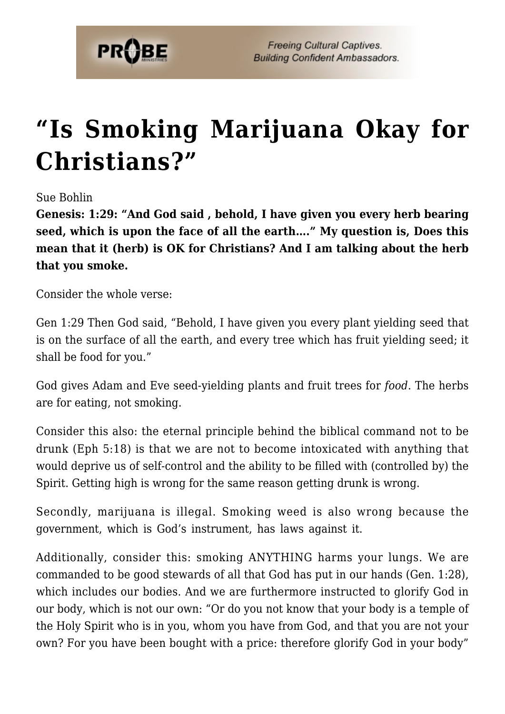

## **["Is Smoking Marijuana Okay for](https://probe.org/is-smoking-marijuana-okay-for-christians/) [Christians?"](https://probe.org/is-smoking-marijuana-okay-for-christians/)**

Sue Bohlin

**Genesis: 1:29: "And God said , behold, I have given you every herb bearing seed, which is upon the face of all the earth…." My question is, Does this mean that it (herb) is OK for Christians? And I am talking about the herb that you smoke.**

Consider the whole verse:

Gen 1:29 Then God said, "Behold, I have given you every plant yielding seed that is on the surface of all the earth, and every tree which has fruit yielding seed; it shall be food for you."

God gives Adam and Eve seed-yielding plants and fruit trees for *food*. The herbs are for eating, not smoking.

Consider this also: the eternal principle behind the biblical command not to be drunk (Eph 5:18) is that we are not to become intoxicated with anything that would deprive us of self-control and the ability to be filled with (controlled by) the Spirit. Getting high is wrong for the same reason getting drunk is wrong.

Secondly, marijuana is illegal. Smoking weed is also wrong because the government, which is God's instrument, has laws against it.

Additionally, consider this: smoking ANYTHING harms your lungs. We are commanded to be good stewards of all that God has put in our hands (Gen. 1:28), which includes our bodies. And we are furthermore instructed to glorify God in our body, which is not our own: "Or do you not know that your body is a temple of the Holy Spirit who is in you, whom you have from God, and that you are not your own? For you have been bought with a price: therefore glorify God in your body"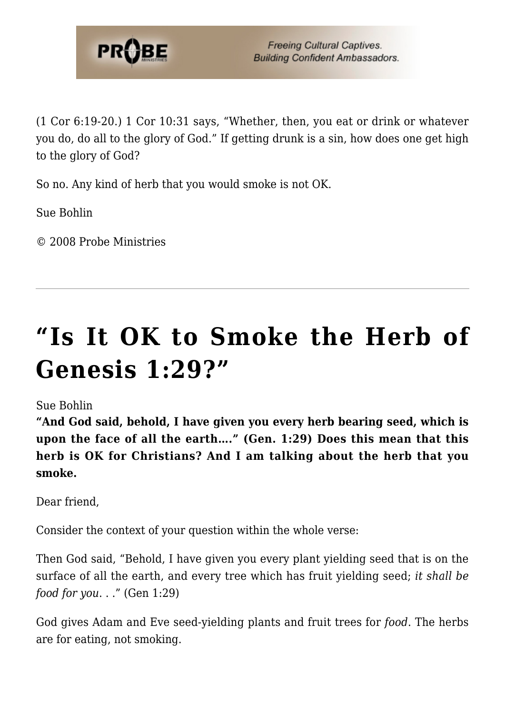

(1 Cor 6:19-20.) 1 Cor 10:31 says, "Whether, then, you eat or drink or whatever you do, do all to the glory of God." If getting drunk is a sin, how does one get high to the glory of God?

So no. Any kind of herb that you would smoke is not OK.

Sue Bohlin

© 2008 Probe Ministries

## **["Is It OK to Smoke the Herb of](https://probe.org/is-it-ok-to-smoke-the-herb-of-genesis-129/) [Genesis 1:29?"](https://probe.org/is-it-ok-to-smoke-the-herb-of-genesis-129/)**

## Sue Bohlin

**"And God said, behold, I have given you every herb bearing seed, which is upon the face of all the earth…." (Gen. 1:29) Does this mean that this herb is OK for Christians? And I am talking about the herb that you smoke.**

Dear friend,

Consider the context of your question within the whole verse:

Then God said, "Behold, I have given you every plant yielding seed that is on the surface of all the earth, and every tree which has fruit yielding seed; *it shall be food for you*. . ." (Gen 1:29)

God gives Adam and Eve seed-yielding plants and fruit trees for *food*. The herbs are for eating, not smoking.